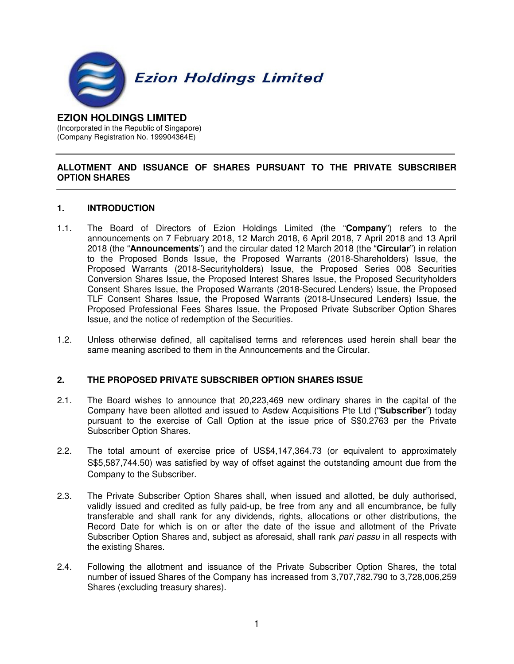

#### **EZION HOLDINGS LIMITED**  (Incorporated in the Republic of Singapore)

(Company Registration No. 199904364E)

# **ALLOTMENT AND ISSUANCE OF SHARES PURSUANT TO THE PRIVATE SUBSCRIBER OPTION SHARES**

## **1. INTRODUCTION**

- 1.1. The Board of Directors of Ezion Holdings Limited (the "**Company**") refers to the announcements on 7 February 2018, 12 March 2018, 6 April 2018, 7 April 2018 and 13 April 2018 (the "**Announcements**") and the circular dated 12 March 2018 (the "**Circular**") in relation to the Proposed Bonds Issue, the Proposed Warrants (2018-Shareholders) Issue, the Proposed Warrants (2018-Securityholders) Issue, the Proposed Series 008 Securities Conversion Shares Issue, the Proposed Interest Shares Issue, the Proposed Securityholders Consent Shares Issue, the Proposed Warrants (2018-Secured Lenders) Issue, the Proposed TLF Consent Shares Issue, the Proposed Warrants (2018-Unsecured Lenders) Issue, the Proposed Professional Fees Shares Issue, the Proposed Private Subscriber Option Shares Issue, and the notice of redemption of the Securities.
- 1.2. Unless otherwise defined, all capitalised terms and references used herein shall bear the same meaning ascribed to them in the Announcements and the Circular.

### **2. THE PROPOSED PRIVATE SUBSCRIBER OPTION SHARES ISSUE**

- 2.1. The Board wishes to announce that 20,223,469 new ordinary shares in the capital of the Company have been allotted and issued to Asdew Acquisitions Pte Ltd ("**Subscriber**") today pursuant to the exercise of Call Option at the issue price of S\$0.2763 per the Private Subscriber Option Shares.
- 2.2. The total amount of exercise price of US\$4,147,364.73 (or equivalent to approximately S\$5,587,744.50) was satisfied by way of offset against the outstanding amount due from the Company to the Subscriber.
- 2.3. The Private Subscriber Option Shares shall, when issued and allotted, be duly authorised, validly issued and credited as fully paid-up, be free from any and all encumbrance, be fully transferable and shall rank for any dividends, rights, allocations or other distributions, the Record Date for which is on or after the date of the issue and allotment of the Private Subscriber Option Shares and, subject as aforesaid, shall rank pari passu in all respects with the existing Shares.
- 2.4. Following the allotment and issuance of the Private Subscriber Option Shares, the total number of issued Shares of the Company has increased from 3,707,782,790 to 3,728,006,259 Shares (excluding treasury shares).